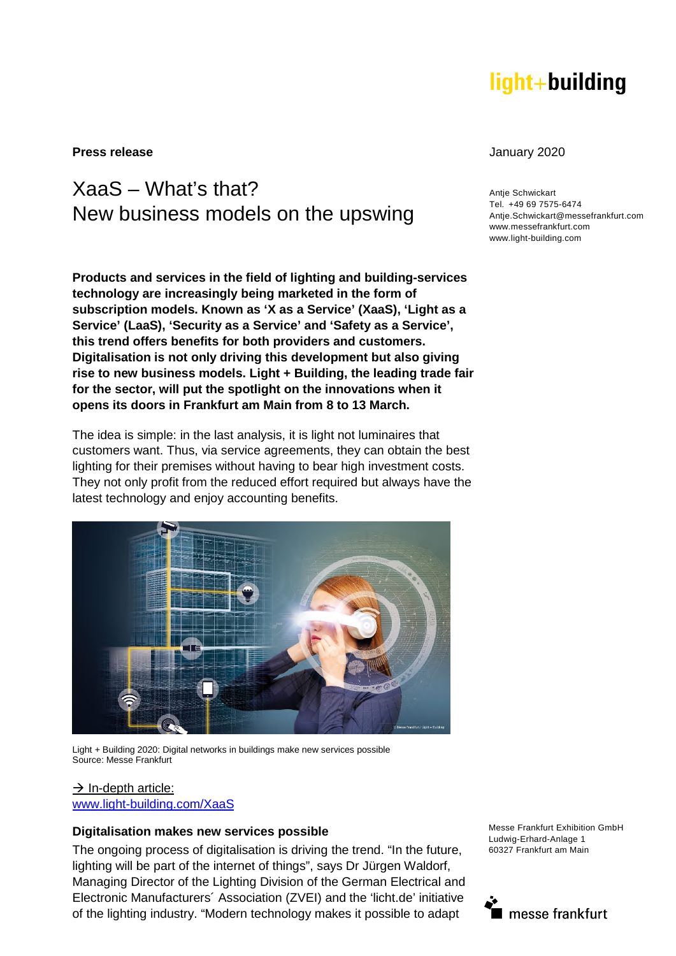# light+building

**Press release** January 2020

## XaaS – What's that? New business models on the upswing

**Products and services in the field of lighting and building-services technology are increasingly being marketed in the form of subscription models. Known as 'X as a Service' (XaaS), 'Light as a Service' (LaaS), 'Security as a Service' and 'Safety as a Service', this trend offers benefits for both providers and customers. Digitalisation is not only driving this development but also giving rise to new business models. Light + Building, the leading trade fair for the sector, will put the spotlight on the innovations when it opens its doors in Frankfurt am Main from 8 to 13 March.** 

The idea is simple: in the last analysis, it is light not luminaires that customers want. Thus, via service agreements, they can obtain the best lighting for their premises without having to bear high investment costs. They not only profit from the reduced effort required but always have the latest technology and enjoy accounting benefits.



Light + Building 2020: Digital networks in buildings make new services possible Source: Messe Frankfurt

#### $\rightarrow$  In-depth article:

[www.light-building.com/XaaS](http://www.light-building.com/XaaS)

#### **Digitalisation makes new services possible**

The ongoing process of digitalisation is driving the trend. "In the future, lighting will be part of the internet of things", says Dr Jürgen Waldorf, Managing Director of the Lighting Division of the German Electrical and Electronic Manufacturers´ Association (ZVEI) and the 'licht.de' initiative of the lighting industry. "Modern technology makes it possible to adapt

Messe Frankfurt Exhibition GmbH Ludwig-Erhard-Anlage 1 60327 Frankfurt am Main



**Antie Schwickart** Tel. +49 69 7575-6474 Antje.Schwickart@messefrankfurt.com www.messefrankfurt.com www.light-building.com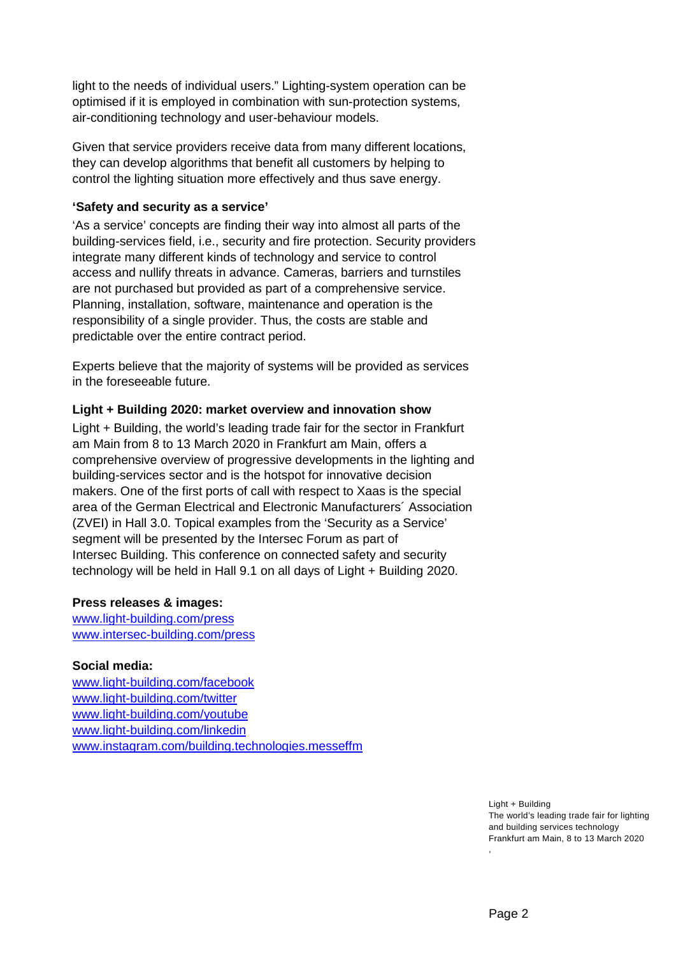light to the needs of individual users." Lighting-system operation can be optimised if it is employed in combination with sun-protection systems, air-conditioning technology and user-behaviour models.

Given that service providers receive data from many different locations, they can develop algorithms that benefit all customers by helping to control the lighting situation more effectively and thus save energy.

#### **'Safety and security as a service'**

'As a service' concepts are finding their way into almost all parts of the building-services field, i.e., security and fire protection. Security providers integrate many different kinds of technology and service to control access and nullify threats in advance. Cameras, barriers and turnstiles are not purchased but provided as part of a comprehensive service. Planning, installation, software, maintenance and operation is the responsibility of a single provider. Thus, the costs are stable and predictable over the entire contract period.

Experts believe that the majority of systems will be provided as services in the foreseeable future.

### **Light + Building 2020: market overview and innovation show**

Light + Building, the world's leading trade fair for the sector in Frankfurt am Main from 8 to 13 March 2020 in Frankfurt am Main, offers a comprehensive overview of progressive developments in the lighting and building-services sector and is the hotspot for innovative decision makers. One of the first ports of call with respect to Xaas is the special area of the German Electrical and Electronic Manufacturers´ Association (ZVEI) in Hall 3.0. Topical examples from the 'Security as a Service' segment will be presented by the Intersec Forum as part of Intersec Building. This conference on connected safety and security technology will be held in Hall 9.1 on all days of Light + Building 2020.

#### **Press releases & images:**

[www.light-building.com/press](http://www.light-building.com/presse) [www.intersec-building.com/press](http://www.intersec-building.com/press) 

## **Social media:**

[www.light-building.com/facebook](http://www.light-building.com/facebook) [www.light-building.com/twitter](http://www.light-building.com/twitter) [www.light-building.com/youtube](http://www.light-building.com/youtube) [www.light-building.com/linkedin](http://www.light-building.com/linkedin)  [www.instagram.com/building.technologies.messeffm](http://www.instagram.com/building.technologies.messeffm)

> Light + Building The world's leading trade fair for lighting and building services technology Frankfurt am Main, 8 to 13 March 2020 ,